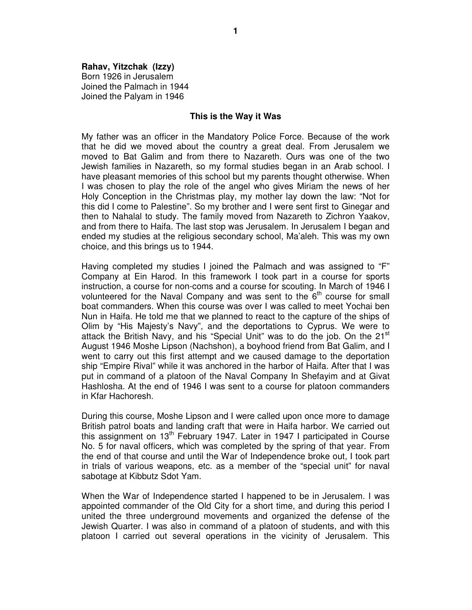## **Rahav, Yitzchak (Izzy)**

Born 1926 in Jerusalem Joined the Palmach in 1944 Joined the Palyam in 1946

## **This is the Way it Was**

My father was an officer in the Mandatory Police Force. Because of the work that he did we moved about the country a great deal. From Jerusalem we moved to Bat Galim and from there to Nazareth. Ours was one of the two Jewish families in Nazareth, so my formal studies began in an Arab school. I have pleasant memories of this school but my parents thought otherwise. When I was chosen to play the role of the angel who gives Miriam the news of her Holy Conception in the Christmas play, my mother lay down the law: "Not for this did I come to Palestine". So my brother and I were sent first to Ginegar and then to Nahalal to study. The family moved from Nazareth to Zichron Yaakov, and from there to Haifa. The last stop was Jerusalem. In Jerusalem I began and ended my studies at the religious secondary school, Ma'aleh. This was my own choice, and this brings us to 1944.

Having completed my studies I joined the Palmach and was assigned to "F" Company at Ein Harod. In this framework I took part in a course for sports instruction, a course for non-coms and a course for scouting. In March of 1946 I volunteered for the Naval Company and was sent to the  $6<sup>th</sup>$  course for small boat commanders. When this course was over I was called to meet Yochai ben Nun in Haifa. He told me that we planned to react to the capture of the ships of Olim by "His Majesty's Navy", and the deportations to Cyprus. We were to attack the British Navy, and his "Special Unit" was to do the job. On the 21<sup>st</sup> August 1946 Moshe Lipson (Nachshon), a boyhood friend from Bat Galim, and I went to carry out this first attempt and we caused damage to the deportation ship "Empire Rival" while it was anchored in the harbor of Haifa. After that I was put in command of a platoon of the Naval Company In Shefayim and at Givat Hashlosha. At the end of 1946 I was sent to a course for platoon commanders in Kfar Hachoresh.

During this course, Moshe Lipson and I were called upon once more to damage British patrol boats and landing craft that were in Haifa harbor. We carried out this assignment on 13<sup>th</sup> February 1947. Later in 1947 I participated in Course No. 5 for naval officers, which was completed by the spring of that year. From the end of that course and until the War of Independence broke out, I took part in trials of various weapons, etc. as a member of the "special unit" for naval sabotage at Kibbutz Sdot Yam.

When the War of Independence started I happened to be in Jerusalem. I was appointed commander of the Old City for a short time, and during this period I united the three underground movements and organized the defense of the Jewish Quarter. I was also in command of a platoon of students, and with this platoon I carried out several operations in the vicinity of Jerusalem. This